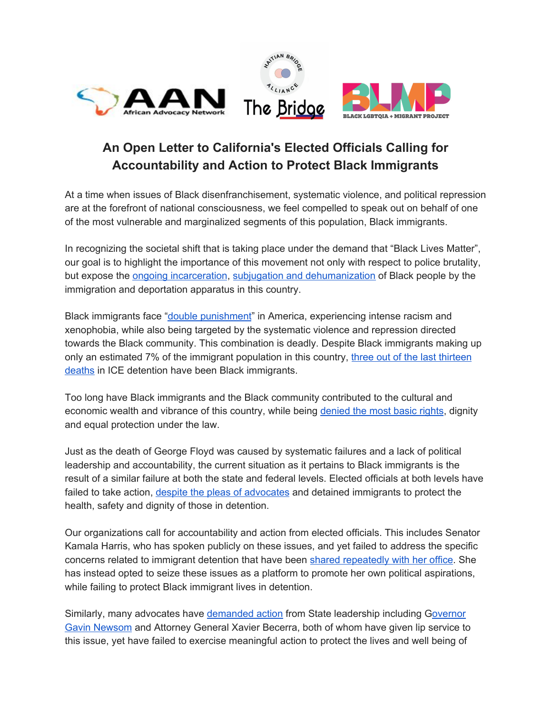

## **An Open Letter to California's Elected Officials Calling for Accountability and Action to Protect Black Immigrants**

At a time when issues of Black disenfranchisement, systematic violence, and political repression are at the forefront of national consciousness, we feel compelled to speak out on behalf of one of the most vulnerable and marginalized segments of this population, Black immigrants.

In recognizing the societal shift that is taking place under the demand that "Black Lives Matter", our goal is to highlight the importance of this movement not only with respect to police brutality, but expose the ongoing [incarceration](https://www.vox.com/identities/2019/9/30/20875821/black-immigrants-school-prison-deportation-pipeline), subjugation and [dehumanization](https://www.phillytrib.com/commentary/stop-mistreating-black-immigrants-at-the-border/article_5bcf15d0-cc20-513e-8d3e-4385f80b4219.html) of Black people by the immigration and deportation apparatus in this country.

Black immigrants face "double [punishment](https://www.theatlantic.com/politics/archive/2017/12/the-double-punishment-for-black-immigrants/549425/)" in America, experiencing intense racism and xenophobia, while also being targeted by the systematic violence and repression directed towards the Black community. This combination is deadly. Despite Black immigrants making up only an estimated 7% of the immigrant population in this country, three out of the last [thirteen](https://www.aila.org/infonet/deaths-at-adult-detention-centers) [deaths](https://www.aila.org/infonet/deaths-at-adult-detention-centers) in ICE detention have been Black immigrants.

Too long have Black immigrants and the Black community contributed to the cultural and economic wealth and vibrance of this country, while being [denied](https://www.sccgov.org/sites/oir/Documents/sobi-deprt-blk-immig-crim-sys.pdf) the most basic rights, dignity and equal protection under the law.

Just as the death of George Floyd was caused by systematic failures and a lack of political leadership and accountability, the current situation as it pertains to Black immigrants is the result of a similar failure at both the state and federal levels. Elected officials at both levels have failed to take action, despite the pleas of [advocates](https://www.latimes.com/california/story/2020-04-19/advocates-say-hundreds-of-immigrants-detained-in-california-are-on-hunger-strike-ice-says-just-two-are) and detained immigrants to protect the health, safety and dignity of those in detention.

Our organizations call for accountability and action from elected officials. This includes Senator Kamala Harris, who has spoken publicly on these issues, and yet failed to address the specific concerns related to immigrant detention that have been shared [repeatedly](https://imadvocates.org/a-cry-for-help-letter-from-oscar-nevarez-m-pod-of-otay-mesa-in-honor-of-carlos-escobar-mejia/) with her office. She has instead opted to seize these issues as a platform to promote her own political aspirations, while failing to protect Black immigrant lives in detention.

Similarly, many advocates have [demanded](https://imadvocates.org/wp-content/uploads/2020/03/Ltr-to-Gov-Newsom-re-COVID-19-Immigrantion-Detention_FINAL.pdf) action from State leadership including [Governor](https://www.sfchronicle.com/news/article/This-is-a-cry-for-help-ICE-detainees-beg-15268548.php) Gavin [Newsom](https://www.sfchronicle.com/news/article/This-is-a-cry-for-help-ICE-detainees-beg-15268548.php) and Attorney General Xavier Becerra, both of whom have given lip service to this issue, yet have failed to exercise meaningful action to protect the lives and well being of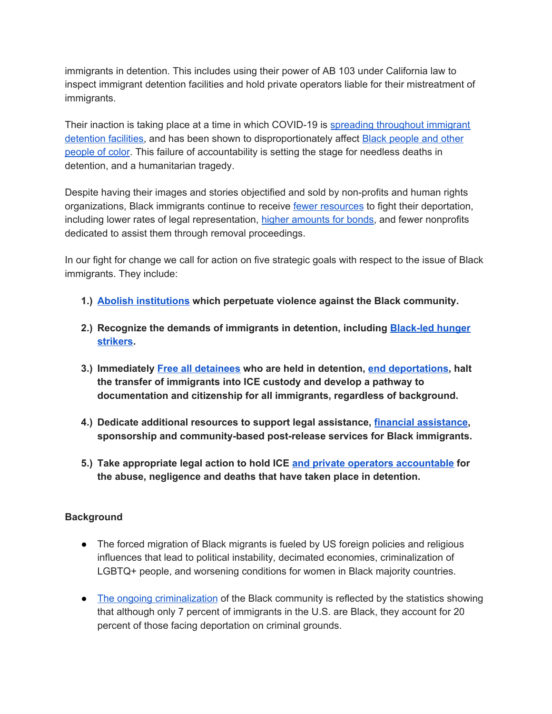immigrants in detention. This includes using their power of AB 103 under California law to inspect immigrant detention facilities and hold private operators liable for their mistreatment of immigrants.

Their inaction is taking place at a time in which COVID-19 is spreading [throughout](https://www.nbcbayarea.com/investigations/covid-19-outbreaks-may-arise-from-immigrant-detention-centers-doctors-say/2289775/) immigrant [detention](https://www.nbcbayarea.com/investigations/covid-19-outbreaks-may-arise-from-immigrant-detention-centers-doctors-say/2289775/) facilities, and has been shown to disproportionately affect Black [people](https://www.washingtonpost.com/graphics/2020/investigations/coronavirus-race-data-map/) and other [people](https://www.washingtonpost.com/graphics/2020/investigations/coronavirus-race-data-map/) of color. This failure of accountability is setting the stage for needless deaths in detention, and a humanitarian tragedy.

Despite having their images and stories objectified and sold by non-profits and human rights organizations, Black immigrants continue to receive fewer [resources](https://www.voiceofsandiego.org/topics/news/there-are-few-resources-to-help-the-growing-number-of-african-migrants-at-the-border/) to fight their deportation, including lower rates of legal representation, higher [amounts](https://www.law.georgetown.edu/mcrp-journal/wp-content/uploads/sites/22/2019/09/GT-GCRP190015.pdf) for bonds, and fewer nonprofits dedicated to assist them through removal proceedings.

In our fight for change we call for action on five strategic goals with respect to the issue of Black immigrants. They include:

- **1.) Abolish [institutions](https://www.8toabolition.com/) which perpetuate violence against the Black community.**
- **2.) Recognize the demands of immigrants in detention, including [Black-led](https://www.centrolegal.org/detained-immigrants-launch-hunger-strike-urging-gov-newsom-to-protect-lives-of-black-immigrants-others-in-ice-detention-amid-covid-19-threat/) hunger [strikers.](https://www.centrolegal.org/detained-immigrants-launch-hunger-strike-urging-gov-newsom-to-protect-lives-of-black-immigrants-others-in-ice-detention-amid-covid-19-threat/)**
- **3.) Immediately Free all [detainees](https://www.detentionwatchnetwork.org/covid-19) who are held in detention, end [deportations,](https://www.hrw.org/news/2020/06/04/us-suspend-deportations-during-pandemic#) halt the transfer of immigrants into ICE custody and develop a pathway to documentation and citizenship for all immigrants, regardless of background.**
- **4.) Dedicate additional resources to support legal assistance, financial [assistance](https://www.nilc.org/wp-content/uploads/2020/04/COVID19-relief-bills-understanding-key-provisions.pdf), sponsorship and community-based post-release services for Black immigrants.**
- **5.) Take appropriate legal action to hold ICE and private operators [accountable](https://imadvocates.org/wp-content/uploads/2020/06/April-24.pdf) for the abuse, negligence and deaths that have taken place in detention.**

## **Background**

- The forced migration of Black migrants is fueled by US foreign policies and religious influences that lead to political instability, decimated economies, criminalization of LGBTQ+ people, and worsening conditions for women in Black majority countries.
- The ongoing [criminalization](https://www.theatlantic.com/politics/archive/2017/12/the-double-punishment-for-black-immigrants/549425/) of the Black community is reflected by the statistics showing that although only 7 percent of immigrants in the U.S. are Black, they account for 20 percent of those facing deportation on criminal grounds.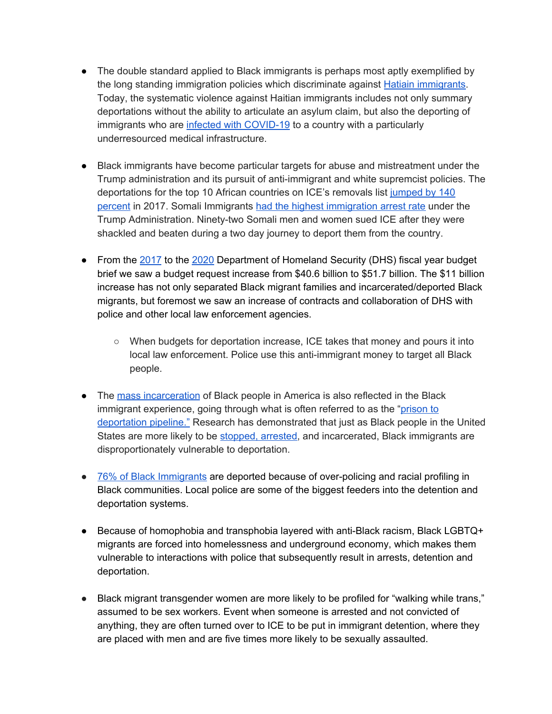- The double standard applied to Black immigrants is perhaps most aptly exemplified by the long standing immigration policies which discriminate against Hatiain [immigrants.](https://globalvoices.org/2016/10/14/the-u-s-s-deportation-of-haitians-shows-that-asylum-applicants-are-far-from-equal-under-the-law/) Today, the systematic violence against Haitian immigrants includes not only summary deportations without the ability to articulate an asylum claim, but also the deporting of immigrants who are infected with [COVID-19](https://www.wlrn.org/post/haitian-advocates-fearing-covid-19-spread-call-us-halt-deportation-flights) to a country with a particularly underresourced medical infrastructure.
- Black immigrants have become particular targets for abuse and mistreatment under the Trump administration and its pursuit of anti-immigrant and white supremcist policies. The deportations for the top 10 African countries on ICE's removals list [jumped](https://thinkimmigration.org/blog/2019/02/26/black-immigrant-history-is-part-of-black-history-month/) by 140 [percent](https://thinkimmigration.org/blog/2019/02/26/black-immigrant-history-is-part-of-black-history-month/) in 2017. Somali Immigrants had the highest [immigration](https://www.americanbar.org/groups/crsj/publications/human_rights_magazine_home/black-to-the-future/immigration-and-blackness/) arrest rate under the Trump Administration. Ninety-two Somali men and women sued ICE after they were shackled and beaten during a two day journey to deport them from the country.
- From the [2017](https://www.dhs.gov/sites/default/files/publications/FY2017_BIB-MASTER.pdf) to the [2020](https://www.dhs.gov/sites/default/files/publications/fy_2020_dhs_bib.pdf) Department of Homeland Security (DHS) fiscal year budget brief we saw a budget request increase from \$40.6 billion to \$51.7 billion. The \$11 billion increase has not only separated Black migrant families and incarcerated/deported Black migrants, but foremost we saw an increase of contracts and collaboration of DHS with police and other local law enforcement agencies.
	- When budgets for deportation increase, ICE takes that money and pours it into local law enforcement. Police use this anti-immigrant money to target all Black people.
- The mass [incarceration](https://www.sentencingproject.org/wp-content/uploads/2015/11/Black-Lives-Matter.pdf) of Black people in America is also reflected in the Black immigrant experience, going through what is often referred to as the "[prison](https://thinkprogress.org/the-prison-to-deportation-pipeline-that-keeps-punishing-immigrants-a5522d0645c6/) to [deportation](https://thinkprogress.org/the-prison-to-deportation-pipeline-that-keeps-punishing-immigrants-a5522d0645c6/) pipeline." Research has demonstrated that just as Black people in the United States are more likely to be [stopped,](https://openpolicing.stanford.edu/findings/) arrested, and incarcerated, Black immigrants are disproportionately vulnerable to deportation.
- 76% of Black [Immigrants](https://www.sccgov.org/sites/oir/Documents/sobi-deprt-blk-immig-crim-sys.pdf) are deported because of over-policing and racial profiling in Black communities. Local police are some of the biggest feeders into the detention and deportation systems.
- Because of homophobia and transphobia layered with anti-Black racism, Black LGBTQ+ migrants are forced into homelessness and underground economy, which makes them vulnerable to interactions with police that subsequently result in arrests, detention and deportation.
- Black migrant transgender women are more likely to be profiled for "walking while trans," assumed to be sex workers. Event when someone is arrested and not convicted of anything, they are often turned over to ICE to be put in immigrant detention, where they are placed with men and are five times more likely to be sexually assaulted.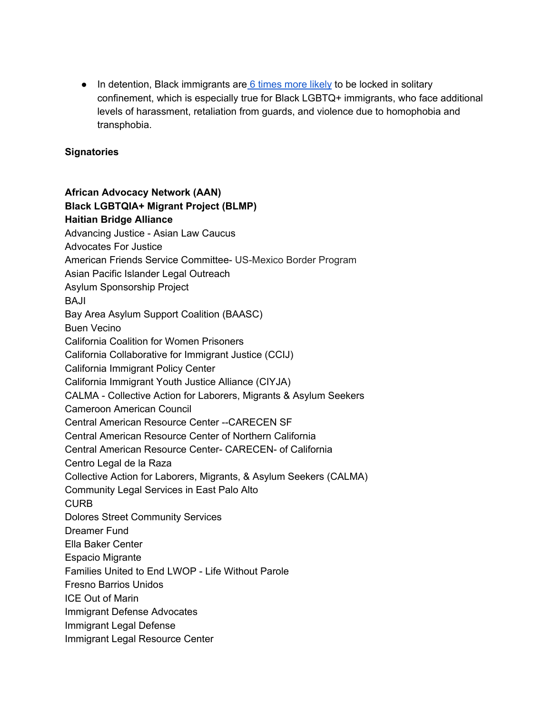$\bullet$  In detention, Black immigrants are  $6$  [times](https://www.icij.org/investigations/solitary-voices/u-s-isolates-detained-immigrants-from-majority-black-countries-at-high-rate-study-finds/) more likely to be locked in solitary confinement, which is especially true for Black LGBTQ+ immigrants, who face additional levels of harassment, retaliation from guards, and violence due to homophobia and transphobia.

## **Signatories**

## **African Advocacy Network (AAN) Black LGBTQIA+ Migrant Project (BLMP) Haitian Bridge Alliance**

Advancing Justice - Asian Law Caucus Advocates For Justice American Friends Service Committee- US-Mexico Border Program Asian Pacific Islander Legal Outreach Asylum Sponsorship Project BAJI Bay Area Asylum Support Coalition (BAASC) Buen Vecino California Coalition for Women Prisoners California Collaborative for Immigrant Justice (CCIJ) California Immigrant Policy Center California Immigrant Youth Justice Alliance (CIYJA) CALMA - Collective Action for Laborers, Migrants & Asylum Seekers Cameroon American Council Central American Resource Center --CARECEN SF Central American Resource Center of Northern California Central American Resource Center- CARECEN- of California Centro Legal de la Raza Collective Action for Laborers, Migrants, & Asylum Seekers (CALMA) Community Legal Services in East Palo Alto **CURB** Dolores Street Community Services Dreamer Fund Ella Baker Center Espacio Migrante Families United to End LWOP - Life Without Parole Fresno Barrios Unidos ICE Out of Marin Immigrant Defense Advocates Immigrant Legal Defense Immigrant Legal Resource Center